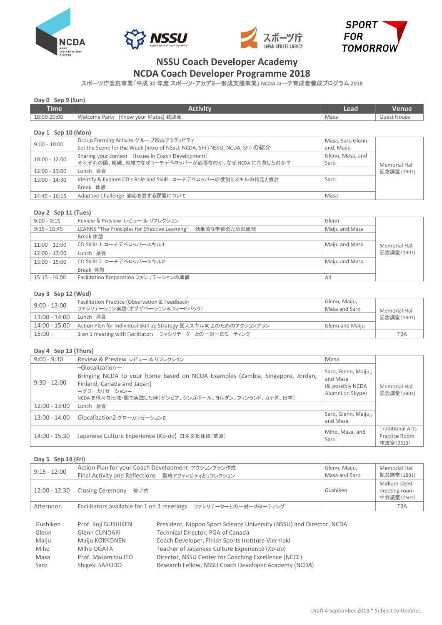







# **NSSU Coach Developer Academy**

## **NCDA Coach Developer Programme 2018**

スポーツ庁委託事業「平成 **30** 年度 スポーツ・アカデミー形成支援事業」 **NCDA** コーチ育成者養成プログラム **2018**

### **Day 0 Sep 9 (Sun)**

| <b>Time</b>        | <b>Activity</b>                                                           | Lead              | Venue              |  |  |
|--------------------|---------------------------------------------------------------------------|-------------------|--------------------|--|--|
| 18:00-20:00        | Welcome Party (Know your Mates) 歓迎会                                       | Masa              | <b>Guest House</b> |  |  |
|                    |                                                                           |                   |                    |  |  |
| Day 1 Sep 10 (Mon) |                                                                           |                   |                    |  |  |
| $9:00 - 10:00$     | Group Forming Activity グループ形成アクティビティ                                      | Masa, Saro Glenn, |                    |  |  |
|                    | Set the Scene for the Week (Intro of NSSU, NCDA, SFT) NSSU, NCDA, SFT の紹介 | and, Maiju        |                    |  |  |
| $10:00 - 12:00$    | Sharing your context (Issues in Coach Development)                        | Glenn, Masa, and  | Memorial Hall      |  |  |
|                    | それぞれの国、組織、地域でなぜコーチデベロッパーが必要なのか、なぜ NCDA に応募したのか?                           | Saro              |                    |  |  |
| $12:00 - 13:00$    | Lunch 昼食                                                                  |                   | 記念講堂(1B01)         |  |  |
| $13:00 - 14:30$    | Identify & Explore CD's Role and Skills コーチデベロッパーの役割とスキルの特定と検討            | Saro              |                    |  |  |
|                    | Break 休憩                                                                  |                   |                    |  |  |
| $14:45 - 16:15$    | Adaptive Challenge 適応を要する課題について                                           | Masa              |                    |  |  |

#### **Day 2 Sep 11 (Tues)**

| $9:00 - 9:15$   | Review & Preview レビュー & リフレクション                                | Glenn          |               |
|-----------------|----------------------------------------------------------------|----------------|---------------|
| $9:15 - 10:45$  | LEARNS "The Principles for Effective Learning"<br>効果的な学習のための原理 | Maiju and Masa |               |
|                 | Break 休憩                                                       |                |               |
| $11:00 - 12:00$ | CD Skills 1 コーチデベロッパースキル1                                      | Maiju and Masa | Memorial Hall |
| $12:00 - 13:00$ | Lunch 昼食                                                       |                | 記念講堂(1B01)    |
| $13:00 - 15:00$ | CD Skills 2 コーチデベロッパースキル2                                      | Maiju and Masa |               |
|                 | Break 休憩                                                       |                |               |
| $15:15 - 16:00$ | Facilitation Preparation ファシリテーションの準備                          | All            |               |

#### **Day 3 Sep 12 (Wed)**

| $9:00 - 13:00$ | Facilitation Practice (Observation & Feedback)                   | Glenn, Maiju,   |               |
|----------------|------------------------------------------------------------------|-----------------|---------------|
|                | ファシリテーション実践(オブザベーション&フィードバック)                                    | Masa and Saro   | Memorial Hall |
| 13:00 - 14:00  | Lunch 昼食                                                         |                 | 記念講堂(1B01)    |
| 14:00 - 15:00  | Action Plan for Individual Skill up Strategy 個人スキル向上のためのアクションプラン | Glenn and Maiju |               |
| $15:00 -$      | 1 on 1 meeting with Facilitators ファシリテーターとの一対一のミーティング            |                 | <b>TBA</b>    |

### **Day 4 Sep 13 (Thurs)**

| $9:00 - 9:30$   | Review & Preview レビュー & リフレクション                                                                                                                                                                        | Masa                                                                     |                                                       |
|-----------------|--------------------------------------------------------------------------------------------------------------------------------------------------------------------------------------------------------|--------------------------------------------------------------------------|-------------------------------------------------------|
| $9:30 - 12:00$  | $-Glocalization-$<br>Bringing NCDA to your home based on NCDA Examples (Zambia, Singapore, Jordan,<br>Finland, Canada and Japan)<br>ーグローカリゼーションー<br>NCDAを様々な地域・国で実践した例(ザンビア、シンガポール、ヨルダン、フィンランド、カナダ、日本) | Saro, Glenn, Maiju,,<br>and Masa<br>(& possibly NCDA<br>Alumni on Skype) | Memorial Hall<br>記念講堂(1B01)                           |
| $12:00 - 13:00$ | Lunch 昼食                                                                                                                                                                                               |                                                                          |                                                       |
| $13:00 - 14:00$ | Glocalization2 グローカリゼーション2                                                                                                                                                                             | Saro, Glenn, Maiju,,<br>and Masa                                         |                                                       |
| 14:00 - 15:30   | Japanese Culture Experience (Ka-do) 日本文化体験(華道)                                                                                                                                                         | Miho, Masa, and<br>Saro                                                  | <b>Traditional Arts</b><br>Practice Room<br>作法室(3313) |

## **Day 5 Sep 14 (Fri)**

| $9:15 - 12:00$ | Action Plan for your Coach Development アクションプラン作成<br>Final Activity and Reflections 最終アクティビティとリフレクション | Glenn, Maiju,<br>Masa and Saro | Memorial Hall<br>記念講堂(1B01)                |
|----------------|-------------------------------------------------------------------------------------------------------|--------------------------------|--------------------------------------------|
|                | 12:00 - 12:30   Closing Ceremony 修了式                                                                  | Gushiken                       | Midium-sized<br>meeting room<br>中会議室(2501) |
| Afternoon      | Facilitators available for 1 on 1 meetings ファシリテーターとの一対一のミーティング                                       |                                | <b>TBA</b>                                 |

| Gushiken | Prof. Koji GUSHIKEN | President, Nippon Sport Science University (NSSU) and Director, NCDA |
|----------|---------------------|----------------------------------------------------------------------|
| Glenn    | Glenn CUNDARI       | Technical Director, PGA of Canada                                    |
| Maiju    | Maiju KOKKONEN      | Coach Developer, Finish Sports Institute Viermaki                    |
| Miho     | Miho OGATA          | Teacher of Japanese Culture Experience (Ka-do)                       |
| Masa     | Prof. Masamitsu ITO | Director, NSSU Center for Coaching Excellence (NCCE)                 |
| Saro     | Shigeki SARODO      | Research Fellow, NSSU Coach Developer Academy (NCDA)                 |